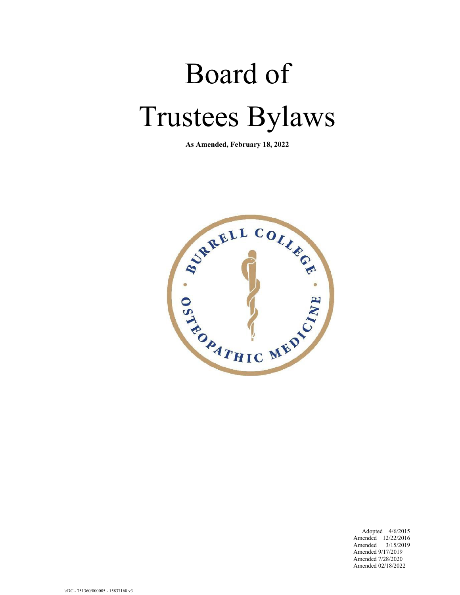# Board of Trustees Bylaws

**As Amended, February 18, 2022**



Adopted 4/6/2015 Amended 12/22/2016 Amended 3/15/2019 Amended 9/17/2019 Amended 7/28/2020 Amended 02/18/2022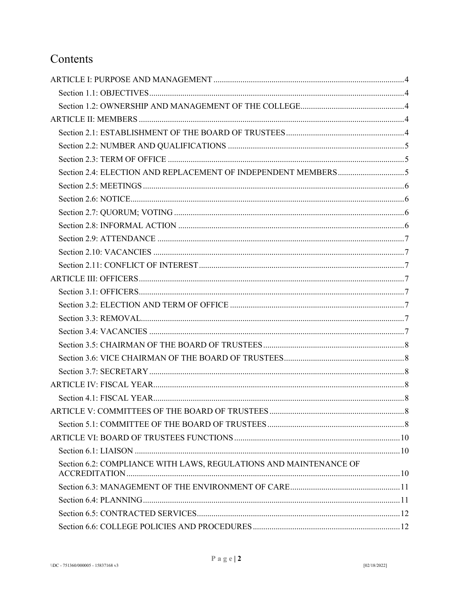## Contents

| Section 6.2: COMPLIANCE WITH LAWS, REGULATIONS AND MAINTENANCE OF |  |
|-------------------------------------------------------------------|--|
|                                                                   |  |
|                                                                   |  |
|                                                                   |  |
|                                                                   |  |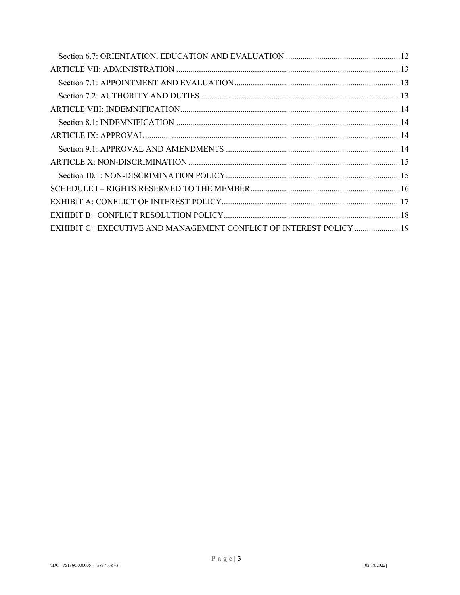| EXHIBIT C: EXECUTIVE AND MANAGEMENT CONFLICT OF INTEREST POLICY  19 |  |
|---------------------------------------------------------------------|--|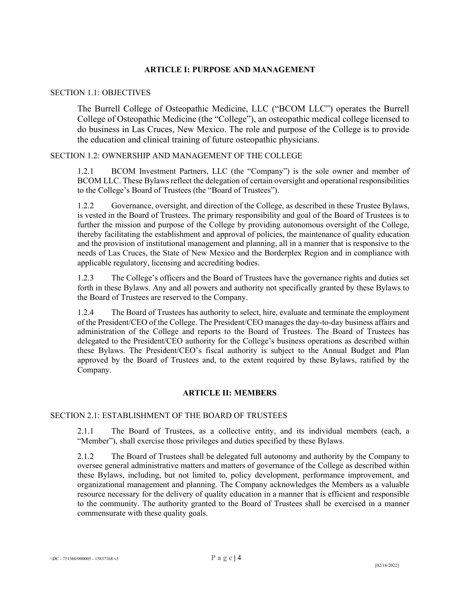## **ARTICLE I: PURPOSE AND MANAGEMENT**

#### <span id="page-3-1"></span><span id="page-3-0"></span>SECTION 1.1: OBJECTIVES

The Burrell College of Osteopathic Medicine, LLC ("BCOM LLC") operates the Burrell College of Osteopathic Medicine (the "College"), an osteopathic medical college licensed to do business in Las Cruces, New Mexico. The role and purpose of the College is to provide the education and clinical training of future osteopathic physicians.

## <span id="page-3-2"></span>SECTION 1.2: OWNERSHIP AND MANAGEMENT OF THE COLLEGE

1.2.1 BCOM Investment Partners, LLC (the "Company") is the sole owner and member of BCOM LLC. These Bylaws reflect the delegation of certain oversight and operational responsibilities to the College's Board of Trustees (the "Board of Trustees").

1.2.2 Governance, oversight, and direction of the College, as described in these Trustee Bylaws, is vested in the Board of Trustees. The primary responsibility and goal of the Board of Trustees is to further the mission and purpose of the College by providing autonomous oversight of the College, thereby facilitating the establishment and approval of policies, the maintenance of quality education and the provision of institutional management and planning, all in a manner that is responsive to the needs of Las Cruces, the State of New Mexico and the Borderplex Region and in compliance with applicable regulatory, licensing and accrediting bodies.

1.2.3 The College's officers and the Board of Trustees have the governance rights and duties set forth in these Bylaws. Any and all powers and authority not specifically granted by these Bylaws to the Board of Trustees are reserved to the Company.

1.2.4 The Board of Trustees has authority to select, hire, evaluate and terminate the employment of the President/CEO of the College. The President/CEO manages the day-to-day business affairs and administration of the College and reports to the Board of Trustees. The Board of Trustees has delegated to the President/CEO authority for the College's business operations as described within these Bylaws. The President/CEO's fiscal authority is subject to the Annual Budget and Plan approved by the Board of Trustees and, to the extent required by these Bylaws, ratified by the Company.

## **ARTICLE II: MEMBERS**

## <span id="page-3-4"></span><span id="page-3-3"></span>SECTION 2.1: ESTABLISHMENT OF THE BOARD OF TRUSTEES

2.1.1 The Board of Trustees, as a collective entity, and its individual members (each, a "Member"), shall exercise those privileges and duties specified by these Bylaws.

2.1.2 The Board of Trustees shall be delegated full autonomy and authority by the Company to oversee general administrative matters and matters of governance of the College as described within these Bylaws, including, but not limited to, policy development, performance improvement, and organizational management and planning. The Company acknowledges the Members as a valuable resource necessary for the delivery of quality education in a manner that is efficient and responsible to the community. The authority granted to the Board of Trustees shall be exercised in a manner commensurate with these quality goals.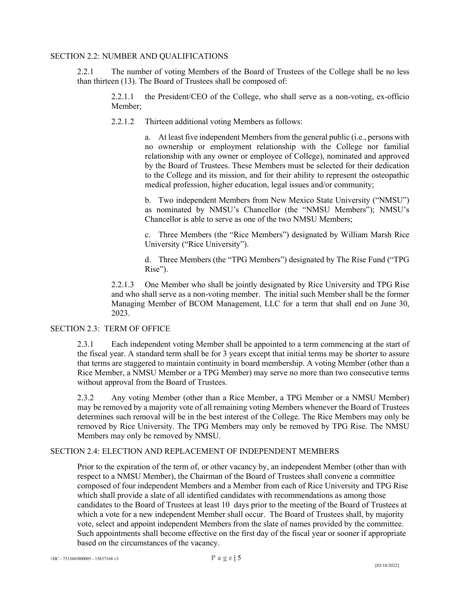## <span id="page-4-0"></span>SECTION 2.2: NUMBER AND QUALIFICATIONS

2.2.1 The number of voting Members of the Board of Trustees of the College shall be no less than thirteen (13). The Board of Trustees shall be composed of:

2.2.1.1 the President/CEO of the College, who shall serve as a non-voting, ex-officio Member;

2.2.1.2 Thirteen additional voting Members as follows:

a. At least five independent Members from the general public (i.e., persons with no ownership or employment relationship with the College nor familial relationship with any owner or employee of College), nominated and approved by the Board of Trustees. These Members must be selected for their dedication to the College and its mission, and for their ability to represent the osteopathic medical profession, higher education, legal issues and/or community;

b. Two independent Members from New Mexico State University ("NMSU") as nominated by NMSU's Chancellor (the "NMSU Members"); NMSU's Chancellor is able to serve as one of the two NMSU Members;

c. Three Members (the "Rice Members") designated by William Marsh Rice University ("Rice University").

d. Three Members (the "TPG Members") designated by The Rise Fund ("TPG Rise").

2.2.1.3 One Member who shall be jointly designated by Rice University and TPG Rise and who shall serve as a non-voting member. The initial such Member shall be the former Managing Member of BCOM Management, LLC for a term that shall end on June 30, 2023.

## SECTION 2.3: TERM OF OFFICE

<span id="page-4-1"></span>2.3.1 Each independent voting Member shall be appointed to a term commencing at the start of the fiscal year. A standard term shall be for 3 years except that initial terms may be shorter to assure that terms are staggered to maintain continuity in board membership. A voting Member (other than a Rice Member, a NMSU Member or a TPG Member) may serve no more than two consecutive terms without approval from the Board of Trustees.

2.3.2 Any voting Member (other than a Rice Member, a TPG Member or a NMSU Member) may be removed by a majority vote of all remaining voting Members whenever the Board of Trustees determines such removal will be in the best interest of the College. The Rice Members may only be removed by Rice University. The TPG Members may only be removed by TPG Rise. The NMSU Members may only be removed by NMSU.

#### <span id="page-4-2"></span>SECTION 2.4: ELECTION AND REPLACEMENT OF INDEPENDENT MEMBERS

Prior to the expiration of the term of, or other vacancy by, an independent Member (other than with respect to a NMSU Member), the Chairman of the Board of Trustees shall convene a committee composed of four independent Members and a Member from each of Rice University and TPG Rise which shall provide a slate of all identified candidates with recommendations as among those candidates to the Board of Trustees at least 10 days prior to the meeting of the Board of Trustees at which a vote for a new independent Member shall occur. The Board of Trustees shall, by majority vote, select and appoint independent Members from the slate of names provided by the committee. Such appointments shall become effective on the first day of the fiscal year or sooner if appropriate based on the circumstances of the vacancy.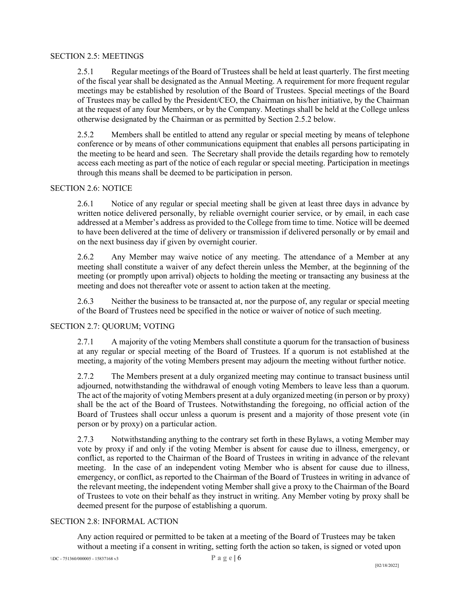## <span id="page-5-0"></span>SECTION 2.5: MEETINGS

2.5.1 Regular meetings of the Board of Trustees shall be held at least quarterly. The first meeting of the fiscal year shall be designated as the Annual Meeting. A requirement for more frequent regular meetings may be established by resolution of the Board of Trustees. Special meetings of the Board of Trustees may be called by the President/CEO, the Chairman on his/her initiative, by the Chairman at the request of any four Members, or by the Company. Meetings shall be held at the College unless otherwise designated by the Chairman or as permitted by Section 2.5.2 below.

2.5.2 Members shall be entitled to attend any regular or special meeting by means of telephone conference or by means of other communications equipment that enables all persons participating in the meeting to be heard and seen. The Secretary shall provide the details regarding how to remotely access each meeting as part of the notice of each regular or special meeting. Participation in meetings through this means shall be deemed to be participation in person.

## <span id="page-5-1"></span>SECTION 2.6: NOTICE

2.6.1 Notice of any regular or special meeting shall be given at least three days in advance by written notice delivered personally, by reliable overnight courier service, or by email, in each case addressed at a Member's address as provided to the College from time to time. Notice will be deemed to have been delivered at the time of delivery or transmission if delivered personally or by email and on the next business day if given by overnight courier.

2.6.2 Any Member may waive notice of any meeting. The attendance of a Member at any meeting shall constitute a waiver of any defect therein unless the Member, at the beginning of the meeting (or promptly upon arrival) objects to holding the meeting or transacting any business at the meeting and does not thereafter vote or assent to action taken at the meeting.

2.6.3 Neither the business to be transacted at, nor the purpose of, any regular or special meeting of the Board of Trustees need be specified in the notice or waiver of notice of such meeting.

## <span id="page-5-2"></span>SECTION 2.7: QUORUM; VOTING

2.7.1 A majority of the voting Members shall constitute a quorum for the transaction of business at any regular or special meeting of the Board of Trustees. If a quorum is not established at the meeting, a majority of the voting Members present may adjourn the meeting without further notice.

2.7.2 The Members present at a duly organized meeting may continue to transact business until adjourned, notwithstanding the withdrawal of enough voting Members to leave less than a quorum. The act of the majority of voting Members present at a duly organized meeting (in person or by proxy) shall be the act of the Board of Trustees. Notwithstanding the foregoing, no official action of the Board of Trustees shall occur unless a quorum is present and a majority of those present vote (in person or by proxy) on a particular action.

2.7.3 Notwithstanding anything to the contrary set forth in these Bylaws, a voting Member may vote by proxy if and only if the voting Member is absent for cause due to illness, emergency, or conflict, as reported to the Chairman of the Board of Trustees in writing in advance of the relevant meeting. In the case of an independent voting Member who is absent for cause due to illness, emergency, or conflict, as reported to the Chairman of the Board of Trustees in writing in advance of the relevant meeting, the independent voting Member shall give a proxy to the Chairman of the Board of Trustees to vote on their behalf as they instruct in writing. Any Member voting by proxy shall be deemed present for the purpose of establishing a quorum.

#### <span id="page-5-3"></span>SECTION 2.8: INFORMAL ACTION

Any action required or permitted to be taken at a meeting of the Board of Trustees may be taken without a meeting if a consent in writing, setting forth the action so taken, is signed or voted upon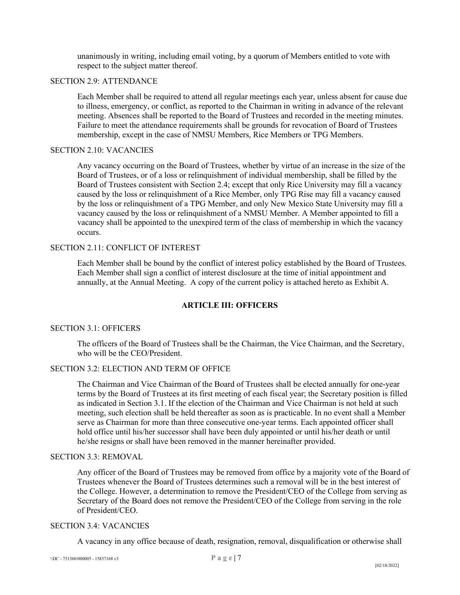unanimously in writing, including email voting, by a quorum of Members entitled to vote with respect to the subject matter thereof.

#### <span id="page-6-0"></span>SECTION 2.9: ATTENDANCE

Each Member shall be required to attend all regular meetings each year, unless absent for cause due to illness, emergency, or conflict, as reported to the Chairman in writing in advance of the relevant meeting. Absences shall be reported to the Board of Trustees and recorded in the meeting minutes. Failure to meet the attendance requirements shall be grounds for revocation of Board of Trustees membership, except in the case of NMSU Members, Rice Members or TPG Members.

#### <span id="page-6-1"></span>SECTION 2.10: VACANCIES

Any vacancy occurring on the Board of Trustees, whether by virtue of an increase in the size of the Board of Trustees, or of a loss or relinquishment of individual membership, shall be filled by the Board of Trustees consistent with Section 2.4; except that only Rice University may fill a vacancy caused by the loss or relinquishment of a Rice Member, only TPG Rise may fill a vacancy caused by the loss or relinquishment of a TPG Member, and only New Mexico State University may fill a vacancy caused by the loss or relinquishment of a NMSU Member. A Member appointed to fill a vacancy shall be appointed to the unexpired term of the class of membership in which the vacancy occurs.

## <span id="page-6-2"></span>SECTION 2.11: CONFLICT OF INTEREST

Each Member shall be bound by the conflict of interest policy established by the Board of Trustees. Each Member shall sign a conflict of interest disclosure at the time of initial appointment and annually, at the Annual Meeting. A copy of the current policy is attached hereto as Exhibit A.

## **ARTICLE III: OFFICERS**

## <span id="page-6-4"></span><span id="page-6-3"></span>SECTION 3.1: OFFICERS

The officers of the Board of Trustees shall be the Chairman, the Vice Chairman, and the Secretary, who will be the CEO/President.

## <span id="page-6-5"></span>SECTION 3.2: ELECTION AND TERM OF OFFICE

The Chairman and Vice Chairman of the Board of Trustees shall be elected annually for one-year terms by the Board of Trustees at its first meeting of each fiscal year; the Secretary position is filled as indicated in Section 3.1. If the election of the Chairman and Vice Chairman is not held at such meeting, such election shall be held thereafter as soon as is practicable. In no event shall a Member serve as Chairman for more than three consecutive one-year terms. Each appointed officer shall hold office until his/her successor shall have been duly appointed or until his/her death or until he/she resigns or shall have been removed in the manner hereinafter provided.

#### <span id="page-6-6"></span>SECTION 3.3: REMOVAL

Any officer of the Board of Trustees may be removed from office by a majority vote of the Board of Trustees whenever the Board of Trustees determines such a removal will be in the best interest of the College. However, a determination to remove the President/CEO of the College from serving as Secretary of the Board does not remove the President/CEO of the College from serving in the role of President/CEO.

#### <span id="page-6-7"></span>SECTION 3.4: VACANCIES

A vacancy in any office because of death, resignation, removal, disqualification or otherwise shall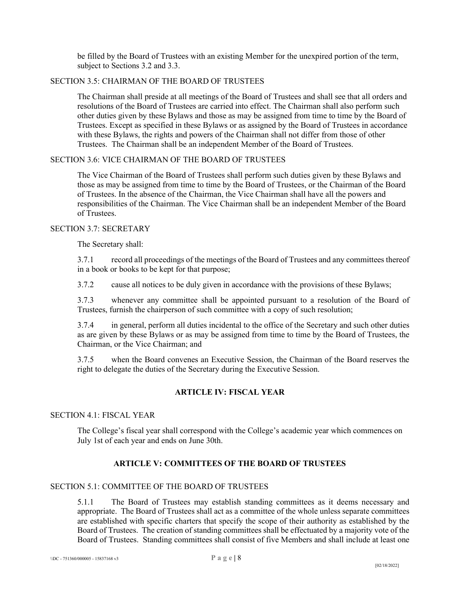be filled by the Board of Trustees with an existing Member for the unexpired portion of the term, subject to Sections 3.2 and 3.3.

## <span id="page-7-0"></span>SECTION 3.5: CHAIRMAN OF THE BOARD OF TRUSTEES

The Chairman shall preside at all meetings of the Board of Trustees and shall see that all orders and resolutions of the Board of Trustees are carried into effect. The Chairman shall also perform such other duties given by these Bylaws and those as may be assigned from time to time by the Board of Trustees. Except as specified in these Bylaws or as assigned by the Board of Trustees in accordance with these Bylaws, the rights and powers of the Chairman shall not differ from those of other Trustees. The Chairman shall be an independent Member of the Board of Trustees.

#### <span id="page-7-1"></span>SECTION 3.6: VICE CHAIRMAN OF THE BOARD OF TRUSTEES

The Vice Chairman of the Board of Trustees shall perform such duties given by these Bylaws and those as may be assigned from time to time by the Board of Trustees, or the Chairman of the Board of Trustees. In the absence of the Chairman, the Vice Chairman shall have all the powers and responsibilities of the Chairman. The Vice Chairman shall be an independent Member of the Board of Trustees.

## <span id="page-7-2"></span>SECTION 3.7: SECRETARY

The Secretary shall:

3.7.1 record all proceedings of the meetings of the Board of Trustees and any committees thereof in a book or books to be kept for that purpose;

3.7.2 cause all notices to be duly given in accordance with the provisions of these Bylaws;

3.7.3 whenever any committee shall be appointed pursuant to a resolution of the Board of Trustees, furnish the chairperson of such committee with a copy of such resolution;

3.7.4 in general, perform all duties incidental to the office of the Secretary and such other duties as are given by these Bylaws or as may be assigned from time to time by the Board of Trustees, the Chairman, or the Vice Chairman; and

3.7.5 when the Board convenes an Executive Session, the Chairman of the Board reserves the right to delegate the duties of the Secretary during the Executive Session.

## **ARTICLE IV: FISCAL YEAR**

#### <span id="page-7-4"></span><span id="page-7-3"></span>SECTION 4.1: FISCAL YEAR

The College's fiscal year shall correspond with the College's academic year which commences on July 1st of each year and ends on June 30th.

## **ARTICLE V: COMMITTEES OF THE BOARD OF TRUSTEES**

#### <span id="page-7-6"></span><span id="page-7-5"></span>SECTION 5.1: COMMITTEE OF THE BOARD OF TRUSTEES

5.1.1 The Board of Trustees may establish standing committees as it deems necessary and appropriate. The Board of Trustees shall act as a committee of the whole unless separate committees are established with specific charters that specify the scope of their authority as established by the Board of Trustees. The creation of standing committees shall be effectuated by a majority vote of the Board of Trustees. Standing committees shall consist of five Members and shall include at least one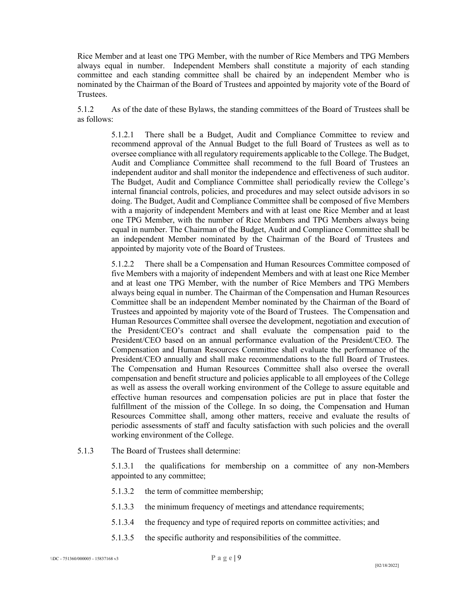Rice Member and at least one TPG Member, with the number of Rice Members and TPG Members always equal in number. Independent Members shall constitute a majority of each standing committee and each standing committee shall be chaired by an independent Member who is nominated by the Chairman of the Board of Trustees and appointed by majority vote of the Board of Trustees.

5.1.2 As of the date of these Bylaws, the standing committees of the Board of Trustees shall be as follows:

> 5.1.2.1 There shall be a Budget, Audit and Compliance Committee to review and recommend approval of the Annual Budget to the full Board of Trustees as well as to oversee compliance with all regulatory requirements applicable to the College. The Budget, Audit and Compliance Committee shall recommend to the full Board of Trustees an independent auditor and shall monitor the independence and effectiveness of such auditor. The Budget, Audit and Compliance Committee shall periodically review the College's internal financial controls, policies, and procedures and may select outside advisors in so doing. The Budget, Audit and Compliance Committee shall be composed of five Members with a majority of independent Members and with at least one Rice Member and at least one TPG Member, with the number of Rice Members and TPG Members always being equal in number. The Chairman of the Budget, Audit and Compliance Committee shall be an independent Member nominated by the Chairman of the Board of Trustees and appointed by majority vote of the Board of Trustees.

> 5.1.2.2 There shall be a Compensation and Human Resources Committee composed of five Members with a majority of independent Members and with at least one Rice Member and at least one TPG Member, with the number of Rice Members and TPG Members always being equal in number. The Chairman of the Compensation and Human Resources Committee shall be an independent Member nominated by the Chairman of the Board of Trustees and appointed by majority vote of the Board of Trustees. The Compensation and Human Resources Committee shall oversee the development, negotiation and execution of the President/CEO's contract and shall evaluate the compensation paid to the President/CEO based on an annual performance evaluation of the President/CEO. The Compensation and Human Resources Committee shall evaluate the performance of the President/CEO annually and shall make recommendations to the full Board of Trustees. The Compensation and Human Resources Committee shall also oversee the overall compensation and benefit structure and policies applicable to all employees of the College as well as assess the overall working environment of the College to assure equitable and effective human resources and compensation policies are put in place that foster the fulfillment of the mission of the College. In so doing, the Compensation and Human Resources Committee shall, among other matters, receive and evaluate the results of periodic assessments of staff and faculty satisfaction with such policies and the overall working environment of the College.

5.1.3 The Board of Trustees shall determine:

5.1.3.1 the qualifications for membership on a committee of any non-Members appointed to any committee;

- 5.1.3.2 the term of committee membership;
- 5.1.3.3 the minimum frequency of meetings and attendance requirements;
- 5.1.3.4 the frequency and type of required reports on committee activities; and
- 5.1.3.5 the specific authority and responsibilities of the committee.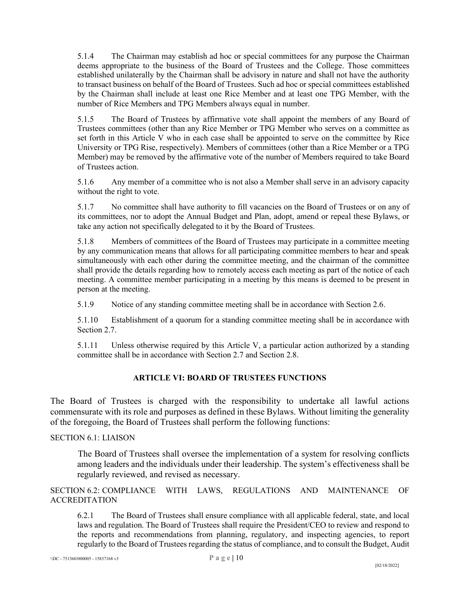5.1.4 The Chairman may establish ad hoc or special committees for any purpose the Chairman deems appropriate to the business of the Board of Trustees and the College. Those committees established unilaterally by the Chairman shall be advisory in nature and shall not have the authority to transact business on behalf of the Board of Trustees. Such ad hoc or special committees established by the Chairman shall include at least one Rice Member and at least one TPG Member, with the number of Rice Members and TPG Members always equal in number.

5.1.5 The Board of Trustees by affirmative vote shall appoint the members of any Board of Trustees committees (other than any Rice Member or TPG Member who serves on a committee as set forth in this Article V who in each case shall be appointed to serve on the committee by Rice University or TPG Rise, respectively). Members of committees (other than a Rice Member or a TPG Member) may be removed by the affirmative vote of the number of Members required to take Board of Trustees action.

5.1.6 Any member of a committee who is not also a Member shall serve in an advisory capacity without the right to vote.

5.1.7 No committee shall have authority to fill vacancies on the Board of Trustees or on any of its committees, nor to adopt the Annual Budget and Plan, adopt, amend or repeal these Bylaws, or take any action not specifically delegated to it by the Board of Trustees.

5.1.8 Members of committees of the Board of Trustees may participate in a committee meeting by any communication means that allows for all participating committee members to hear and speak simultaneously with each other during the committee meeting, and the chairman of the committee shall provide the details regarding how to remotely access each meeting as part of the notice of each meeting. A committee member participating in a meeting by this means is deemed to be present in person at the meeting.

5.1.9 Notice of any standing committee meeting shall be in accordance with Section 2.6.

5.1.10 Establishment of a quorum for a standing committee meeting shall be in accordance with Section 2.7.

5.1.11 Unless otherwise required by this Article V, a particular action authorized by a standing committee shall be in accordance with Section 2.7 and Section 2.8.

## **ARTICLE VI: BOARD OF TRUSTEES FUNCTIONS**

<span id="page-9-0"></span>The Board of Trustees is charged with the responsibility to undertake all lawful actions commensurate with its role and purposes as defined in these Bylaws. Without limiting the generality of the foregoing, the Board of Trustees shall perform the following functions:

## <span id="page-9-1"></span>SECTION 6.1: LIAISON

The Board of Trustees shall oversee the implementation of a system for resolving conflicts among leaders and the individuals under their leadership. The system's effectiveness shall be regularly reviewed, and revised as necessary.

<span id="page-9-2"></span>SECTION 6.2: COMPLIANCE WITH LAWS, REGULATIONS AND MAINTENANCE OF ACCREDITATION

6.2.1 The Board of Trustees shall ensure compliance with all applicable federal, state, and local laws and regulation. The Board of Trustees shall require the President/CEO to review and respond to the reports and recommendations from planning, regulatory, and inspecting agencies, to report regularly to the Board of Trustees regarding the status of compliance, and to consult the Budget, Audit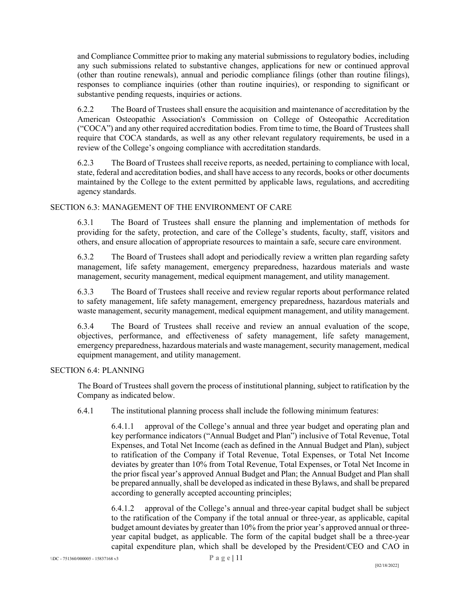and Compliance Committee prior to making any material submissions to regulatory bodies, including any such submissions related to substantive changes, applications for new or continued approval (other than routine renewals), annual and periodic compliance filings (other than routine filings), responses to compliance inquiries (other than routine inquiries), or responding to significant or substantive pending requests, inquiries or actions.

6.2.2 The Board of Trustees shall ensure the acquisition and maintenance of accreditation by the American Osteopathic Association's Commission on College of Osteopathic Accreditation ("COCA") and any other required accreditation bodies. From time to time, the Board of Trustees shall require that COCA standards, as well as any other relevant regulatory requirements, be used in a review of the College's ongoing compliance with accreditation standards.

6.2.3 The Board of Trustees shall receive reports, as needed, pertaining to compliance with local, state, federal and accreditation bodies, and shall have access to any records, books or other documents maintained by the College to the extent permitted by applicable laws, regulations, and accrediting agency standards.

## <span id="page-10-0"></span>SECTION 6.3: MANAGEMENT OF THE ENVIRONMENT OF CARE

6.3.1 The Board of Trustees shall ensure the planning and implementation of methods for providing for the safety, protection, and care of the College's students, faculty, staff, visitors and others, and ensure allocation of appropriate resources to maintain a safe, secure care environment.

6.3.2 The Board of Trustees shall adopt and periodically review a written plan regarding safety management, life safety management, emergency preparedness, hazardous materials and waste management, security management, medical equipment management, and utility management.

6.3.3 The Board of Trustees shall receive and review regular reports about performance related to safety management, life safety management, emergency preparedness, hazardous materials and waste management, security management, medical equipment management, and utility management.

6.3.4 The Board of Trustees shall receive and review an annual evaluation of the scope, objectives, performance, and effectiveness of safety management, life safety management, emergency preparedness, hazardous materials and waste management, security management, medical equipment management, and utility management.

#### <span id="page-10-1"></span>SECTION 6.4: PLANNING

The Board of Trustees shall govern the process of institutional planning, subject to ratification by the Company as indicated below.

6.4.1 The institutional planning process shall include the following minimum features:

6.4.1.1 approval of the College's annual and three year budget and operating plan and key performance indicators ("Annual Budget and Plan") inclusive of Total Revenue, Total Expenses, and Total Net Income (each as defined in the Annual Budget and Plan), subject to ratification of the Company if Total Revenue, Total Expenses, or Total Net Income deviates by greater than 10% from Total Revenue, Total Expenses, or Total Net Income in the prior fiscal year's approved Annual Budget and Plan; the Annual Budget and Plan shall be prepared annually, shall be developed as indicated in these Bylaws, and shall be prepared according to generally accepted accounting principles;

6.4.1.2 approval of the College's annual and three-year capital budget shall be subject to the ratification of the Company if the total annual or three-year, as applicable, capital budget amount deviates by greater than 10% from the prior year's approved annual or threeyear capital budget, as applicable. The form of the capital budget shall be a three-year capital expenditure plan, which shall be developed by the President/CEO and CAO in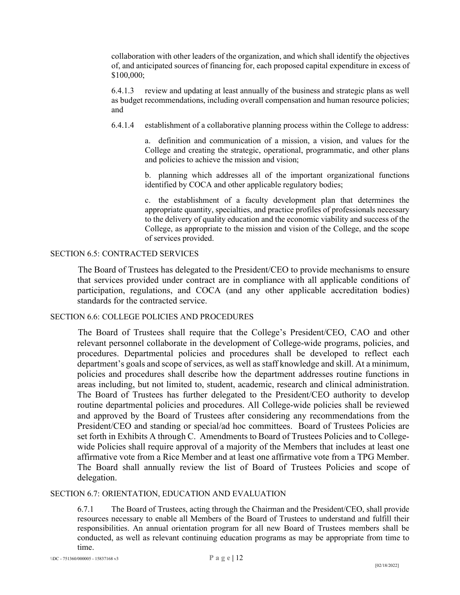collaboration with other leaders of the organization, and which shall identify the objectives of, and anticipated sources of financing for, each proposed capital expenditure in excess of \$100,000;

6.4.1.3 review and updating at least annually of the business and strategic plans as well as budget recommendations, including overall compensation and human resource policies; and

6.4.1.4 establishment of a collaborative planning process within the College to address:

a. definition and communication of a mission, a vision, and values for the College and creating the strategic, operational, programmatic, and other plans and policies to achieve the mission and vision;

b. planning which addresses all of the important organizational functions identified by COCA and other applicable regulatory bodies;

c. the establishment of a faculty development plan that determines the appropriate quantity, specialties, and practice profiles of professionals necessary to the delivery of quality education and the economic viability and success of the College, as appropriate to the mission and vision of the College, and the scope of services provided.

#### <span id="page-11-0"></span>SECTION 6.5: CONTRACTED SERVICES

The Board of Trustees has delegated to the President/CEO to provide mechanisms to ensure that services provided under contract are in compliance with all applicable conditions of participation, regulations, and COCA (and any other applicable accreditation bodies) standards for the contracted service.

## <span id="page-11-1"></span>SECTION 6.6: COLLEGE POLICIES AND PROCEDURES

The Board of Trustees shall require that the College's President/CEO, CAO and other relevant personnel collaborate in the development of College-wide programs, policies, and procedures. Departmental policies and procedures shall be developed to reflect each department's goals and scope of services, as well as staff knowledge and skill. At a minimum, policies and procedures shall describe how the department addresses routine functions in areas including, but not limited to, student, academic, research and clinical administration. The Board of Trustees has further delegated to the President/CEO authority to develop routine departmental policies and procedures. All College-wide policies shall be reviewed and approved by the Board of Trustees after considering any recommendations from the President/CEO and standing or special/ad hoc committees. Board of Trustees Policies are set forth in Exhibits A through C. Amendments to Board of Trustees Policies and to Collegewide Policies shall require approval of a majority of the Members that includes at least one affirmative vote from a Rice Member and at least one affirmative vote from a TPG Member. The Board shall annually review the list of Board of Trustees Policies and scope of delegation.

#### <span id="page-11-2"></span>SECTION 6.7: ORIENTATION, EDUCATION AND EVALUATION

6.7.1 The Board of Trustees, acting through the Chairman and the President/CEO, shall provide resources necessary to enable all Members of the Board of Trustees to understand and fulfill their responsibilities. An annual orientation program for all new Board of Trustees members shall be conducted, as well as relevant continuing education programs as may be appropriate from time to time.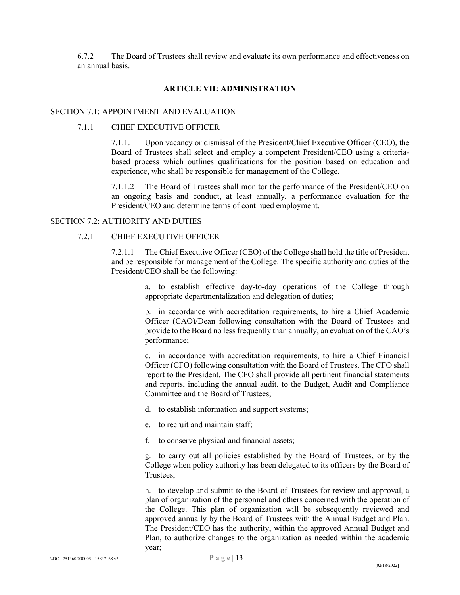6.7.2 The Board of Trustees shall review and evaluate its own performance and effectiveness on an annual basis.

#### **ARTICLE VII: ADMINISTRATION**

#### <span id="page-12-1"></span><span id="page-12-0"></span>SECTION 7.1: APPOINTMENT AND EVALUATION

#### 7.1.1 CHIEF EXECUTIVE OFFICER

7.1.1.1 Upon vacancy or dismissal of the President/Chief Executive Officer (CEO), the Board of Trustees shall select and employ a competent President/CEO using a criteriabased process which outlines qualifications for the position based on education and experience, who shall be responsible for management of the College.

7.1.1.2 The Board of Trustees shall monitor the performance of the President/CEO on an ongoing basis and conduct, at least annually, a performance evaluation for the President/CEO and determine terms of continued employment.

## <span id="page-12-2"></span>SECTION 7.2: AUTHORITY AND DUTIES

## 7.2.1 CHIEF EXECUTIVE OFFICER

7.2.1.1 The Chief Executive Officer (CEO) of the College shall hold the title of President and be responsible for management of the College. The specific authority and duties of the President/CEO shall be the following:

> a. to establish effective day-to-day operations of the College through appropriate departmentalization and delegation of duties;

> b. in accordance with accreditation requirements, to hire a Chief Academic Officer (CAO)/Dean following consultation with the Board of Trustees and provide to the Board no less frequently than annually, an evaluation of the CAO's performance;

> c. in accordance with accreditation requirements, to hire a Chief Financial Officer (CFO) following consultation with the Board of Trustees. The CFO shall report to the President. The CFO shall provide all pertinent financial statements and reports, including the annual audit, to the Budget, Audit and Compliance Committee and the Board of Trustees;

d. to establish information and support systems;

- e. to recruit and maintain staff;
- f. to conserve physical and financial assets;

g. to carry out all policies established by the Board of Trustees, or by the College when policy authority has been delegated to its officers by the Board of Trustees;

h. to develop and submit to the Board of Trustees for review and approval, a plan of organization of the personnel and others concerned with the operation of the College. This plan of organization will be subsequently reviewed and approved annually by the Board of Trustees with the Annual Budget and Plan. The President/CEO has the authority, within the approved Annual Budget and Plan, to authorize changes to the organization as needed within the academic year;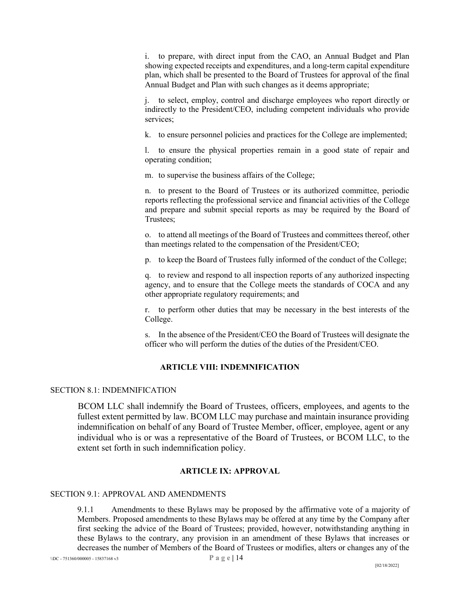i. to prepare, with direct input from the CAO, an Annual Budget and Plan showing expected receipts and expenditures, and a long-term capital expenditure plan, which shall be presented to the Board of Trustees for approval of the final Annual Budget and Plan with such changes as it deems appropriate;

j. to select, employ, control and discharge employees who report directly or indirectly to the President/CEO, including competent individuals who provide services;

k. to ensure personnel policies and practices for the College are implemented;

l. to ensure the physical properties remain in a good state of repair and operating condition;

m. to supervise the business affairs of the College;

n. to present to the Board of Trustees or its authorized committee, periodic reports reflecting the professional service and financial activities of the College and prepare and submit special reports as may be required by the Board of Trustees;

o. to attend all meetings of the Board of Trustees and committees thereof, other than meetings related to the compensation of the President/CEO;

p. to keep the Board of Trustees fully informed of the conduct of the College;

q. to review and respond to all inspection reports of any authorized inspecting agency, and to ensure that the College meets the standards of COCA and any other appropriate regulatory requirements; and

r. to perform other duties that may be necessary in the best interests of the College.

s. In the absence of the President/CEO the Board of Trustees will designate the officer who will perform the duties of the duties of the President/CEO.

## **ARTICLE VIII: INDEMNIFICATION**

#### <span id="page-13-1"></span><span id="page-13-0"></span>SECTION 8.1: INDEMNIFICATION

BCOM LLC shall indemnify the Board of Trustees, officers, employees, and agents to the fullest extent permitted by law. BCOM LLC may purchase and maintain insurance providing indemnification on behalf of any Board of Trustee Member, officer, employee, agent or any individual who is or was a representative of the Board of Trustees, or BCOM LLC, to the extent set forth in such indemnification policy.

## **ARTICLE IX: APPROVAL**

#### <span id="page-13-3"></span><span id="page-13-2"></span>SECTION 9.1: APPROVAL AND AMENDMENTS

9.1.1 Amendments to these Bylaws may be proposed by the affirmative vote of a majority of Members. Proposed amendments to these Bylaws may be offered at any time by the Company after first seeking the advice of the Board of Trustees; provided, however, notwithstanding anything in these Bylaws to the contrary, any provision in an amendment of these Bylaws that increases or decreases the number of Members of the Board of Trustees or modifies, alters or changes any of the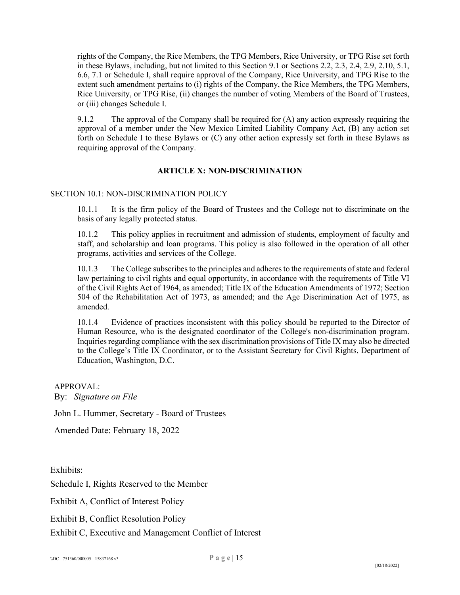rights of the Company, the Rice Members, the TPG Members, Rice University, or TPG Rise set forth in these Bylaws, including, but not limited to this Section 9.1 or Sections 2.2, 2.3, 2.4, 2.9, 2.10, 5.1, 6.6, 7.1 or Schedule I, shall require approval of the Company, Rice University, and TPG Rise to the extent such amendment pertains to (i) rights of the Company, the Rice Members, the TPG Members, Rice University, or TPG Rise, (ii) changes the number of voting Members of the Board of Trustees, or (iii) changes Schedule I.

9.1.2 The approval of the Company shall be required for (A) any action expressly requiring the approval of a member under the New Mexico Limited Liability Company Act, (B) any action set forth on Schedule I to these Bylaws or (C) any other action expressly set forth in these Bylaws as requiring approval of the Company.

## **ARTICLE X: NON-DISCRIMINATION**

## <span id="page-14-1"></span><span id="page-14-0"></span>SECTION 10.1: NON-DISCRIMINATION POLICY

10.1.1 It is the firm policy of the Board of Trustees and the College not to discriminate on the basis of any legally protected status.

10.1.2 This policy applies in recruitment and admission of students, employment of faculty and staff, and scholarship and loan programs. This policy is also followed in the operation of all other programs, activities and services of the College.

10.1.3 The College subscribes to the principles and adheres to the requirements of state and federal law pertaining to civil rights and equal opportunity, in accordance with the requirements of Title VI of the Civil Rights Act of 1964, as amended; Title IX of the Education Amendments of 1972; Section 504 of the Rehabilitation Act of 1973, as amended; and the Age Discrimination Act of 1975, as amended.

10.1.4 Evidence of practices inconsistent with this policy should be reported to the Director of Human Resource, who is the designated coordinator of the College's non-discrimination program. Inquiries regarding compliance with the sex discrimination provisions of Title IX may also be directed to the College's Title IX Coordinator, or to the Assistant Secretary for Civil Rights, Department of Education, Washington, D.C.

APPROVAL: By: *Signature on File*

John L. Hummer, Secretary - Board of Trustees

Amended Date: February 18, 2022

Exhibits:

Schedule I, Rights Reserved to the Member

Exhibit A, Conflict of Interest Policy

Exhibit B, Conflict Resolution Policy

Exhibit C, Executive and Management Conflict of Interest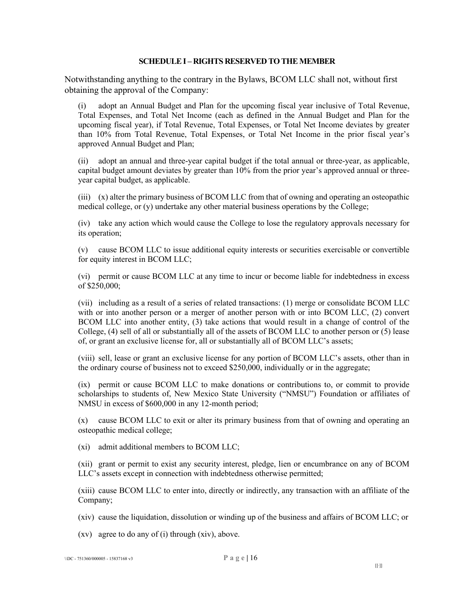#### **SCHEDULE I – RIGHTS RESERVED TO THE MEMBER**

<span id="page-15-0"></span>Notwithstanding anything to the contrary in the Bylaws, BCOM LLC shall not, without first obtaining the approval of the Company:

(i) adopt an Annual Budget and Plan for the upcoming fiscal year inclusive of Total Revenue, Total Expenses, and Total Net Income (each as defined in the Annual Budget and Plan for the upcoming fiscal year), if Total Revenue, Total Expenses, or Total Net Income deviates by greater than 10% from Total Revenue, Total Expenses, or Total Net Income in the prior fiscal year's approved Annual Budget and Plan;

(ii) adopt an annual and three-year capital budget if the total annual or three-year, as applicable, capital budget amount deviates by greater than 10% from the prior year's approved annual or threeyear capital budget, as applicable.

(iii) (x) alter the primary business of BCOM LLC from that of owning and operating an osteopathic medical college, or (y) undertake any other material business operations by the College;

(iv) take any action which would cause the College to lose the regulatory approvals necessary for its operation;

(v) cause BCOM LLC to issue additional equity interests or securities exercisable or convertible for equity interest in BCOM LLC;

(vi) permit or cause BCOM LLC at any time to incur or become liable for indebtedness in excess of \$250,000;

(vii) including as a result of a series of related transactions: (1) merge or consolidate BCOM LLC with or into another person or a merger of another person with or into BCOM LLC, (2) convert BCOM LLC into another entity, (3) take actions that would result in a change of control of the College, (4) sell of all or substantially all of the assets of BCOM LLC to another person or (5) lease of, or grant an exclusive license for, all or substantially all of BCOM LLC's assets;

(viii) sell, lease or grant an exclusive license for any portion of BCOM LLC's assets, other than in the ordinary course of business not to exceed \$250,000, individually or in the aggregate;

(ix) permit or cause BCOM LLC to make donations or contributions to, or commit to provide scholarships to students of, New Mexico State University ("NMSU") Foundation or affiliates of NMSU in excess of \$600,000 in any 12-month period;

(x) cause BCOM LLC to exit or alter its primary business from that of owning and operating an osteopathic medical college;

(xi) admit additional members to BCOM LLC;

(xii) grant or permit to exist any security interest, pledge, lien or encumbrance on any of BCOM LLC's assets except in connection with indebtedness otherwise permitted;

(xiii) cause BCOM LLC to enter into, directly or indirectly, any transaction with an affiliate of the Company;

(xiv) cause the liquidation, dissolution or winding up of the business and affairs of BCOM LLC; or

(xv) agree to do any of (i) through (xiv), above.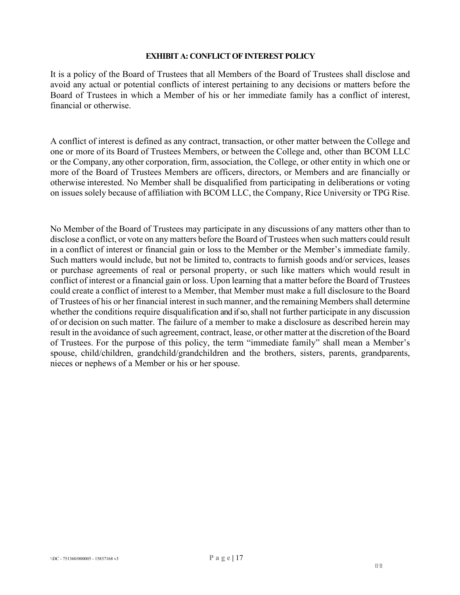## **EXHIBIT A: CONFLICT OF INTEREST POLICY**

<span id="page-16-0"></span>It is a policy of the Board of Trustees that all Members of the Board of Trustees shall disclose and avoid any actual or potential conflicts of interest pertaining to any decisions or matters before the Board of Trustees in which a Member of his or her immediate family has a conflict of interest, financial or otherwise.

A conflict of interest is defined as any contract, transaction, or other matter between the College and one or more of its Board of Trustees Members, or between the College and, other than BCOM LLC or the Company, any other corporation, firm, association, the College, or other entity in which one or more of the Board of Trustees Members are officers, directors, or Members and are financially or otherwise interested. No Member shall be disqualified from participating in deliberations or voting on issues solely because of affiliation with BCOM LLC, the Company, Rice University or TPG Rise.

No Member of the Board of Trustees may participate in any discussions of any matters other than to disclose a conflict, or vote on any matters before the Board of Trustees when such matters could result in a conflict of interest or financial gain or loss to the Member or the Member's immediate family. Such matters would include, but not be limited to, contracts to furnish goods and/or services, leases or purchase agreements of real or personal property, or such like matters which would result in conflict of interest or a financial gain or loss. Upon learning that a matter before the Board of Trustees could create a conflict of interest to a Member, that Member must make a full disclosure to the Board of Trustees of his or her financial interest in such manner, and the remaining Members shall determine whether the conditions require disqualification and if so, shall not further participate in any discussion of or decision on such matter. The failure of a member to make a disclosure as described herein may result in the avoidance of such agreement, contract, lease, or other matter at the discretion ofthe Board of Trustees. For the purpose of this policy, the term "immediate family" shall mean a Member's spouse, child/children, grandchild/grandchildren and the brothers, sisters, parents, grandparents, nieces or nephews of a Member or his or her spouse.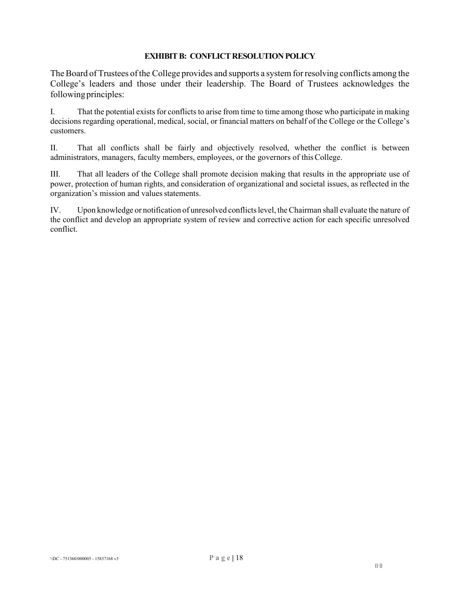## **EXHIBIT B: CONFLICT RESOLUTION POLICY**

<span id="page-17-0"></span>The Board of Trustees of the College provides and supports a system for resolving conflicts among the College's leaders and those under their leadership. The Board of Trustees acknowledges the following principles:

I. That the potential exists for conflicts to arise from time to time among those who participate in making decisions regarding operational, medical, social, or financial matters on behalf of the College or the College's customers.

II. That all conflicts shall be fairly and objectively resolved, whether the conflict is between administrators, managers, faculty members, employees, or the governors of thisCollege.

III. That all leaders of the College shall promote decision making that results in the appropriate use of power, protection of human rights, and consideration of organizational and societal issues, as reflected in the organization's mission and values statements.

IV. Upon knowledge or notification of unresolved conflicts level, the Chairman shall evaluate the nature of the conflict and develop an appropriate system of review and corrective action for each specific unresolved conflict.